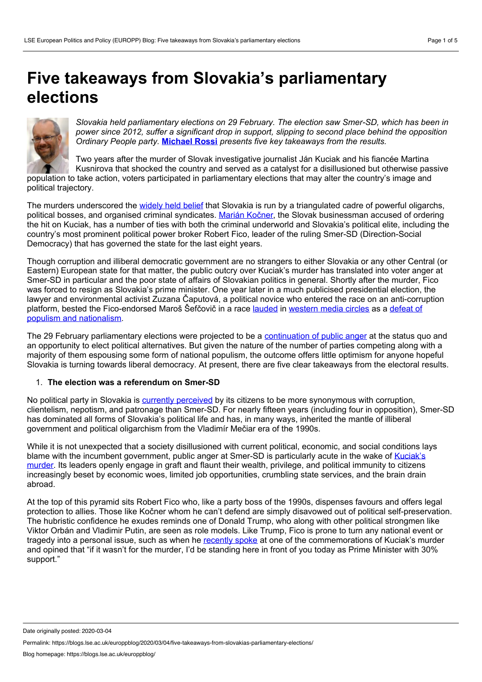# <span id="page-0-0"></span>**Five takeaways from Slovakia's parliamentary elections**



*Slovakia held parliamentary elections on 29 February. The election saw Smer-SD, which has been in power since 2012, suffer a significant drop in support, slipping to second place behind the opposition Ordinary People party.* **[Michael](#page-0-0) Rossi** *presents five key takeaways from the results.*

Two years after the murder of Slovak investigative journalist Ján Kuciak and his fiancée Martina Kusnirova that shocked the country and served as a catalyst for a disillusioned but otherwise passive population to take action, voters participated in parliamentary elections that may alter the country's image and political trajectory.

The murders underscored the [widely](https://www.aljazeera.com/news/2020/02/slovakia-seeks-escape-corruption-black-hole-200226135428581.html) held belief that Slovakia is run by a triangulated cadre of powerful oligarchs, political bosses, and organised criminal syndicates. Marián [Kočner](https://foreignpolicy.com/2020/02/27/slovakia-parliament-election-stark-choice-jan-kuciak-marian-kocner-murder-trial-smer-caputova-kotleba/), the Slovak businessman accused of ordering the hit on Kuciak, has a number of ties with both the criminal underworld and Slovakia's political elite, including the country's most prominent political power broker Robert Fico, leader of the ruling Smer-SD (Direction-Social Democracy) that has governed the state for the last eight years.

Though corruption and illiberal democratic government are no strangers to either Slovakia or any other Central (or Eastern) European state for that matter, the public outcry over Kuciak's murder has translated into voter anger at Smer-SD in particular and the poor state of affairs of Slovakian politics in general. Shortly after the murder, Fico was forced to resign as Slovakia's prime minister. One year later in a much publicised presidential election, the lawyer and environmental activist Zuzana Čaputová, a political novice who entered the race on an anti-corruption platform, bested the [Fico-endorsed](https://www.ft.com/content/f0902de6-5255-11e9-9c76-bf4a0ce37d49) Maroš Šefčovič in a race [lauded](https://www.nytimes.com/2019/03/15/world/europe/slovakia-election.html) in [western](https://www.bloomberg.com/news/articles/2019-03-30/anti-graft-activist-set-to-be-slovakia-s-first-woman-president) media circles as a defeat of populism and nationalism.

The 29 February parliamentary elections were projected to be a [continuation](https://euobserver.com/political/147564?utm_source=euobs&utm_medium=rss) of public anger at the status quo and an opportunity to elect political alternatives. But given the nature of the number of parties competing along with a majority of them espousing some form of national populism, the outcome offers little optimism for anyone hopeful Slovakia is turning towards liberal democracy. At present, there are five clear takeaways from the electoral results.

## 1. **The election was a referendum on Smer-SD**

No political party in Slovakia is currently [perceived](https://www.theguardian.com/world/2020/mar/01/slovakia-election-centre-right-olano-wins-poll-on-anti-graft-platform) by its citizens to be more synonymous with corruption, clientelism, nepotism, and patronage than Smer-SD. For nearly fifteen years (including four in opposition), Smer-SD has dominated all forms of Slovakia's political life and has, in many ways, inherited the mantle of illiberal government and political oligarchism from the Vladimír Mečiar era of the 1990s.

While it is not unexpected that a society disillusioned with current political, economic, and social conditions lays blame with the incumbent [government,](https://foreignpolicy.com/2018/03/02/blood-on-their-hands/) public anger at Smer-SD is particularly acute in the wake of Kuciak's murder. Its leaders openly engage in graft and flaunt their wealth, privilege, and political immunity to citizens increasingly beset by economic woes, limited job opportunities, crumbling state services, and the brain drain abroad.

At the top of this pyramid sits Robert Fico who, like a party boss of the 1990s, dispenses favours and offers legal protection to allies. Those like Kočner whom he can't defend are simply disavowed out of political self-preservation. The hubristic confidence he exudes reminds one of Donald Trump, who along with other political strongmen like Viktor Orbán and Vladimir Putin, are seen as role models. Like Trump, Fico is prone to turn any national event or tragedy into a personal issue, such as when he [recently](https://spectator.sme.sk/c/22333313/slovakia-remembered-victims-fico-remembered-himself.html) spoke at one of the commemorations of Kuciak's murder and opined that "if it wasn't for the murder, I'd be standing here in front of you today as Prime Minister with 30% support."

Date originally posted: 2020-03-04

Permalink: https://blogs.lse.ac.uk/europpblog/2020/03/04/five-takeaways-from-slovakias-parliamentary-elections/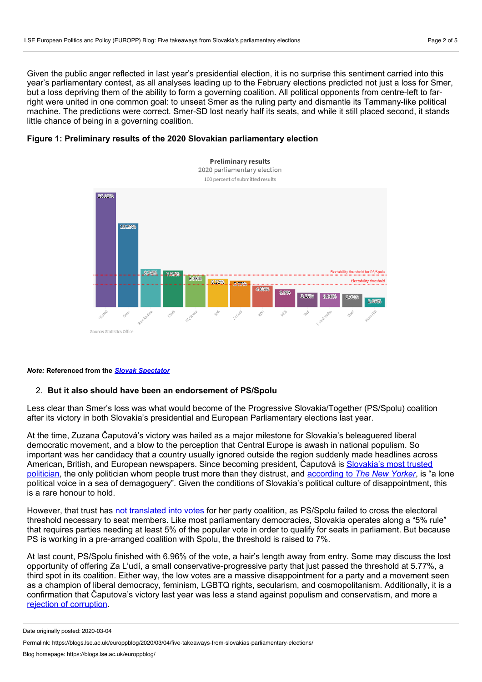Given the public anger reflected in last year's presidential election, it is no surprise this sentiment carried into this year's parliamentary contest, as all analyses leading up to the February elections predicted not just a loss for Smer, but a loss depriving them of the ability to form agoverning coalition. All political opponents from centre-left to farright were united in one common goal: to unseat Smer as the ruling party and dismantle its Tammany-like political machine. The predictions were correct. Smer-SD lost nearly half its seats, and while it still placed second, it stands little chance of being in a governing coalition.

### **Figure 1: Preliminary results of the 2020 Slovakian parliamentary election**



#### *Note:* **Referenced from the** *Slovak [Spectator](https://spectator.sme.sk/c/22334834/slovakia-election-2020-parliament.html)*

#### 2. **But it also should have been an endorsement of PS/Spolu**

Less clear than Smer's loss was what would become of the Progressive Slovakia/Together (PS/Spolu) coalition after its victory in both Slovakia's presidential and European Parliamentary elections last year.

At the time, Zuzana Čaputová's victory was hailed as a major milestone for Slovakia's beleaguered liberal democratic movement, and a blow to the perception that Central Europe is awash in national populism. So important was her candidacy that a country usually ignored outside the region suddenly made headlines across American, British, and European [newspapers.](https://spectator.sme.sk/c/22324124/president-caputova-is-the-most-trustworthy-politician.html) Since becoming president, Čaputová is Slovakia's most trusted politician, the only politician whom people trust more than they distrust, and [according](https://www.newyorker.com/news/our-columnists/zuzana-caputova-the-president-of-slovakia-voices-her-countrys-hopes-and-frustrations) to *The New Yorker*, is "a lone political voice in a sea of demagoguery". Given the conditions of Slovakia's political culture of disappointment, this is a rare honour to hold.

However, that trust has not [translated](https://spectator.sme.sk/c/22348379/ps-spolu-did-not-make-it-to-parliament.html) into votes for her party coalition, as PS/Spolu failed to cross the electoral threshold necessary to seat members. Like most parliamentary democracies, Slovakia operates along a "5% rule" that requires parties needing at least 5% of the popular vote in order to qualify for seats in parliament. But because PS is working in a pre-arranged coalition with Spolu, the threshold is raised to 7%.

At last count, PS/Spolu finished with 6.96% of the vote, a hair's length away from entry. Some may discuss the lost opportunity of offering Za L'udí, a small conservative-progressive party that just passed the threshold at 5.77%, a third spot in its coalition. Either way, the low votes are a massive disappointment for a party and a movement seen as a champion of liberal democracy, feminism, LGBTQ rights, secularism, and cosmopolitanism. Additionally, it is a confirmation that Čaputova's victory last year was less a stand against populism and conservatism, and more a rejection of [corruption](https://blogs.lse.ac.uk/europpblog/2019/06/14/slovakias-progressive-turn-is-a-rejection-of-corruption-not-a-stand-against-populism/#comments).

Date originally posted: 2020-03-04

Permalink: https://blogs.lse.ac.uk/europpblog/2020/03/04/five-takeaways-from-slovakias-parliamentary-elections/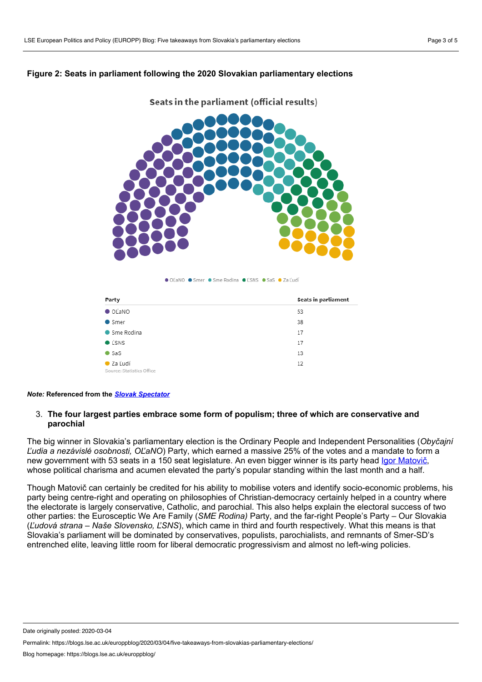## **Figure 2: Seats in parliament following the 2020 Slovakian parliamentary elections**



Seats in the parliament (official results)

● OĽaNO ● Smer ● Sme Rodina ● ĽSNS ● SaS ● Za Ľudí

| Party                                          | Seats in parliament |
|------------------------------------------------|---------------------|
| O(LANO)                                        | 53                  |
| $\bullet$ Smer                                 | 38                  |
| ● Sme Rodina                                   | 17                  |
| <b>C</b> LSNS                                  | 17                  |
| $\bullet$ SaS                                  | 13                  |
| $\bullet$ Za Ludí<br>Source: Statistics Office | 12                  |

#### *Note:* **Referenced from the** *Slovak [Spectator](https://spectator.sme.sk/c/22334834/slovakia-election-2020-parliament.html)*

## 3. **The four largest parties embrace some form of populism; three of which are conservative and parochial**

The big winner in Slovakia's parliamentary election is the Ordinary People and Independent Personalities (*Obyčajní Ľudia a nezávislé osobnosti, OĽaNO*) Party, which earned a massive 25% of the votes and a mandate to form a new government with 53 seats in a 150 seat legislature. An even bigger winner is its party head Igor [Matovič](https://spectator.sme.sk/c/22338284/the-man-who-defeated-smer-who-is-igor-matovic.html?ref=tab), whose political charisma and acumen elevated the party's popular standing within the last month and a half.

Though Matovič can certainly be credited for his ability to mobilise voters and identify socio-economic problems, his party being centre-right and operating on philosophies of Christian-democracy certainly helped in a country where the electorate is largely conservative, Catholic, and parochial. This also helps explain the electoral success of two other parties: the Eurosceptic We Are Family (*SME Rodina)* Party, and the far-right People's Party – Our Slovakia (*Ľudová strana – Naše Slovensko, ĽSNS*), which came in third and fourth respectively. What this means is that Slovakia's parliament will be dominated by conservatives, populists, parochialists, and remnants of Smer-SD's entrenched elite, leaving little room for liberal democratic progressivism and almost no left-wing policies.

Date originally posted: 2020-03-04

Permalink: https://blogs.lse.ac.uk/europpblog/2020/03/04/five-takeaways-from-slovakias-parliamentary-elections/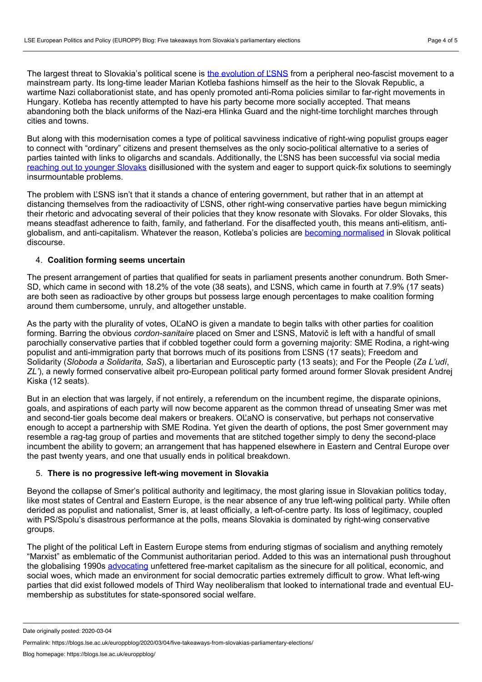The largest threat to Slovakia's political scene is the [evolution](https://balkaninsight.com/2020/02/26/slovak-far-right-courts-youth-vote-in-pivotal-ballot/) of L'SNS from a peripheral neo-fascist movement to a mainstream party. Its long-time leader Marian Kotleba fashions himself as the heir to the Slovak Republic, a wartime Nazi collaborationist state, and has openly promoted anti-Roma policies similar to far-right movements in Hungary. Kotleba has recently attempted to have his party become more socially accepted. That means abandoning both the black uniforms of the Nazi-era Hlinka Guard and the night-time torchlight marches through cities and towns.

But along with this modernisation comes a type of political savviness indicative of right-wing populist groups eager to connect with "ordinary" citizens and present themselves as the only socio-political alternative to a series of parties tainted with links to oligarchs and scandals. Additionally, the ĽSNS has been successful via social media [reaching](https://spectator.sme.sk/c/22334249/slovak-far-right-courts-youth-vote-in-pivotal-ballot.html) out to younger Slovaks disillusioned with the system and eager to support quick-fix solutions to seemingly insurmountable problems.

The problem with ĽSNS isn't that it stands a chance of entering government, but rather that in an attempt at distancing themselves from the radioactivity of ĽSNS, other right-wing conservative parties have begun mimicking their rhetoric and advocating several of their policies that they know resonate with Slovaks. For older Slovaks, this means steadfast adherence to faith, family, and fatherland. For the disaffected youth, this means anti-elitism, anti globalism, and anti-capitalism. Whatever the reason, Kotleba's policies are becoming [normalised](https://qz.com/1804760/a-neofascist-party-could-place-second-in-slovakias-election/) in Slovak political discourse.

## 4. **Coalition forming seems uncertain**

The present arrangement of parties that qualified for seats in parliament presents another conundrum. Both Smer- SD, which came in second with 18.2% of the vote (38 seats), and ĽSNS, which came in fourth at 7.9% (17 seats) are both seen as radioactive by other groups but possess large enough percentages to make coalition forming around them cumbersome, unruly, and altogether unstable.

As the party with the plurality of votes, OĽaNO is given a mandate to begin talks with other parties for coalition forming. Barring the obvious *cordon-sanitaire* placed on Smer and ĽSNS, Matovič is left with a handful of small parochially conservative parties that if cobbled together could form a governing majority: SME Rodina, a right-wing populist and anti-immigration party that borrows much of its positions from ĽSNS (17 seats); Freedom and Solidarity (*Sloboda a Solidarita, SaS*), a libertarian and Eurosceptic party (13 seats); and For the People (*Za L'udí*, *ZL'*), a newly formed conservative albeit pro-European political party formed around former Slovak president Andrej Kiska (12 seats).

But in an election that was largely, if not entirely, a referendum on the incumbent regime, the disparate opinions, goals, and aspirations of each party will now become apparent as the common thread of unseating Smer was met and second-tier goals become deal makers or breakers. OĽaNO is conservative, but perhaps not conservative enough to accept a partnership with SME Rodina. Yet given the dearth of options, the post Smer government may resemble a rag-tag group of parties and movements that are stitched together simply to deny the second-place incumbent the ability to govern; an arrangement that has happened elsewhere in Eastern and Central Europe over the past twenty years, and one that usually ends in political breakdown.

### 5. **There is no progressive left-wing movement in Slovakia**

Beyond the collapse of Smer's political authority and legitimacy, the most glaring issue in Slovakian politics today, like most states of Central and Eastern Europe, is the near absence of any true left-wing political party. While often derided as populist and nationalist, Smer is, at least officially, a left-of-centre party. Its loss of legitimacy, coupled with PS/Spolu's disastrous performance at the polls, means Slovakia is dominated by right-wing conservative groups.

The plight of the political Left in Eastern Europe stems from enduring stigmas of socialism and anything remotely "Marxist" as emblematic of the Communist authoritarian period. Added to this was an international push throughout the globalising 1990s [advocating](https://www.economist.com/europe/1990/01/13/what-is-to-be-done) unfettered free-market capitalism as the sinecure for all political, economic, and social woes, which made an environment for social democratic parties extremely difficult to grow. What left-wing parties that did exist followed models of Third Way neoliberalism that looked to international trade and eventual EU membership as substitutes for state-sponsored social welfare.

Date originally posted: 2020-03-04

Permalink: https://blogs.lse.ac.uk/europpblog/2020/03/04/five-takeaways-from-slovakias-parliamentary-elections/